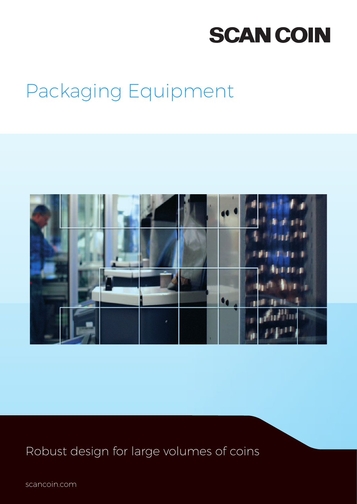# **SCAN COIN**

## Packaging Equipment



Robust design for large volumes of coins

scancoin.com